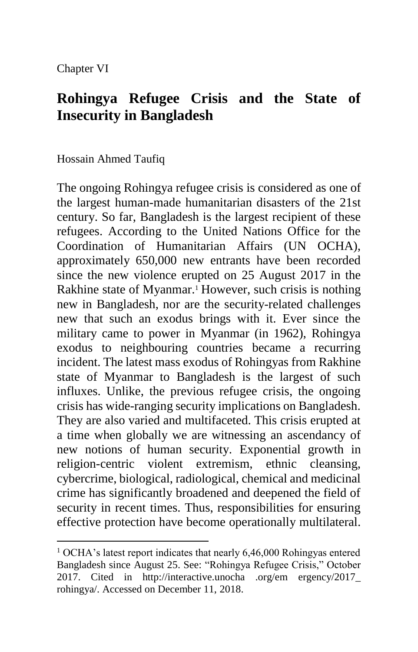Chapter VI

1

# **Rohingya Refugee Crisis and the State of Insecurity in Bangladesh**

Hossain Ahmed Taufiq

The ongoing Rohingya refugee crisis is considered as one of the largest human-made humanitarian disasters of the 21st century. So far, Bangladesh is the largest recipient of these refugees. According to the United Nations Office for the Coordination of Humanitarian Affairs (UN OCHA), approximately 650,000 new entrants have been recorded since the new violence erupted on 25 August 2017 in the Rakhine state of Myanmar.<sup>1</sup> However, such crisis is nothing new in Bangladesh, nor are the security-related challenges new that such an exodus brings with it. Ever since the military came to power in Myanmar (in 1962), Rohingya exodus to neighbouring countries became a recurring incident. The latest mass exodus of Rohingyas from Rakhine state of Myanmar to Bangladesh is the largest of such influxes. Unlike, the previous refugee crisis, the ongoing crisis has wide-ranging security implications on Bangladesh. They are also varied and multifaceted. This crisis erupted at a time when globally we are witnessing an ascendancy of new notions of human security. Exponential growth in religion-centric violent extremism, ethnic cleansing, cybercrime, biological, radiological, chemical and medicinal crime has significantly broadened and deepened the field of security in recent times. Thus, responsibilities for ensuring effective protection have become operationally multilateral.

 $1$  OCHA's latest report indicates that nearly 6,46,000 Rohingyas entered Bangladesh since August 25. See: "Rohingya Refugee Crisis," October 2017. Cited in http://interactive.unocha .org/em ergency/2017\_ rohingya/. Accessed on December 11, 2018.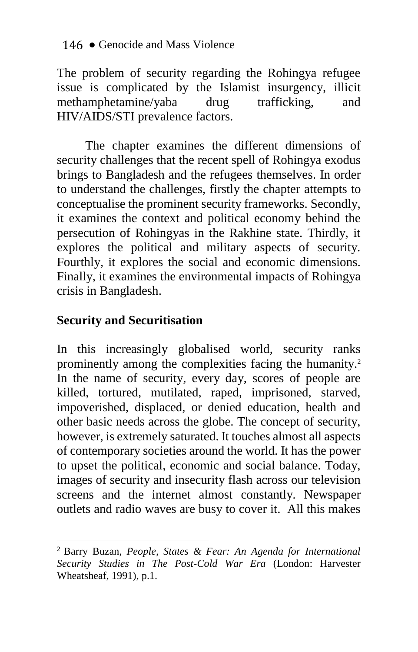The problem of security regarding the Rohingya refugee issue is complicated by the Islamist insurgency, illicit<br>methamphetamine/vaba drug trafficking, and methamphetamine/yaba drug trafficking, and HIV/AIDS/STI prevalence factors.

The chapter examines the different dimensions of security challenges that the recent spell of Rohingya exodus brings to Bangladesh and the refugees themselves. In order to understand the challenges, firstly the chapter attempts to conceptualise the prominent security frameworks. Secondly, it examines the context and political economy behind the persecution of Rohingyas in the Rakhine state. Thirdly, it explores the political and military aspects of security. Fourthly, it explores the social and economic dimensions. Finally, it examines the environmental impacts of Rohingya crisis in Bangladesh.

### **Security and Securitisation**

1

In this increasingly globalised world, security ranks prominently among the complexities facing the humanity. 2 In the name of security, every day, scores of people are killed, tortured, mutilated, raped, imprisoned, starved, impoverished, displaced, or denied education, health and other basic needs across the globe. The concept of security, however, is extremely saturated. It touches almost all aspects of contemporary societies around the world. It has the power to upset the political, economic and social balance. Today, images of security and insecurity flash across our television screens and the internet almost constantly. Newspaper outlets and radio waves are busy to cover it. All this makes

<sup>2</sup> Barry Buzan, *People, States & Fear: An Agenda for International Security Studies in The Post-Cold War Era* (London: Harvester Wheatsheaf, 1991), p.1.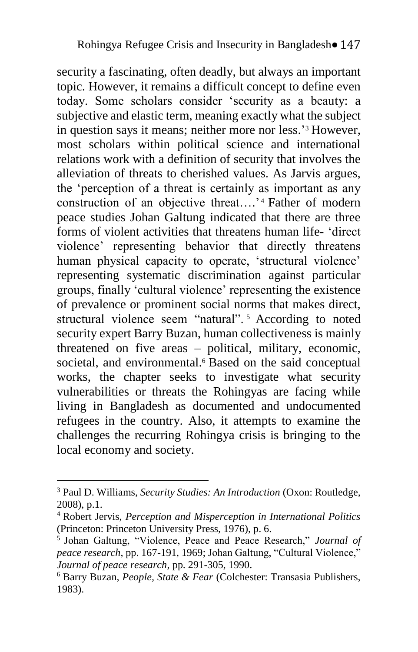security a fascinating, often deadly, but always an important topic. However, it remains a difficult concept to define even today. Some scholars consider 'security as a beauty: a subjective and elastic term, meaning exactly what the subject in question says it means; neither more nor less.' <sup>3</sup> However, most scholars within political science and international relations work with a definition of security that involves the alleviation of threats to cherished values. As Jarvis argues, the 'perception of a threat is certainly as important as any construction of an objective threat….' <sup>4</sup> Father of modern peace studies Johan Galtung indicated that there are three forms of violent activities that threatens human life- 'direct violence' representing behavior that directly threatens human physical capacity to operate, 'structural violence' representing systematic discrimination against particular groups, finally 'cultural violence' representing the existence of prevalence or prominent social norms that makes direct, structural violence seem "natural". <sup>5</sup> According to noted security expert Barry Buzan, human collectiveness is mainly threatened on five areas – political, military, economic, societal, and environmental.<sup>6</sup> Based on the said conceptual works, the chapter seeks to investigate what security vulnerabilities or threats the Rohingyas are facing while living in Bangladesh as documented and undocumented refugees in the country. Also, it attempts to examine the challenges the recurring Rohingya crisis is bringing to the local economy and society.

<sup>3</sup> Paul D. Williams, *Security Studies: An Introduction* (Oxon: Routledge, 2008), p.1.

<sup>4</sup> Robert Jervis, *Perception and Misperception in International Politics* (Princeton: Princeton University Press, 1976), p. 6.

<sup>5</sup> Johan Galtung, "Violence, Peace and Peace Research," *Journal of peace research*, pp. 167-191, 1969; Johan Galtung, "Cultural Violence," *Journal of peace research*, pp. 291-305, 1990.

<sup>6</sup> Barry Buzan, *People, State & Fear* (Colchester: Transasia Publishers, 1983).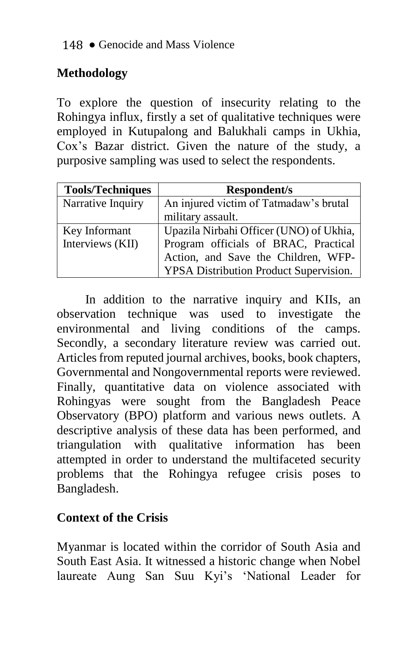# **Methodology**

To explore the question of insecurity relating to the Rohingya influx, firstly a set of qualitative techniques were employed in Kutupalong and Balukhali camps in Ukhia, Cox's Bazar district. Given the nature of the study, a purposive sampling was used to select the respondents.

| <b>Tools/Techniques</b> | Respondent/s                                                                |
|-------------------------|-----------------------------------------------------------------------------|
| Narrative Inquiry       | An injured victim of Tatmadaw's brutal                                      |
|                         | military assault.                                                           |
| Key Informant           | Upazila Nirbahi Officer (UNO) of Ukhia,                                     |
| Interviews (KII)        | Program officials of BRAC, Practical<br>Action, and Save the Children, WFP- |
|                         |                                                                             |
|                         | YPSA Distribution Product Supervision.                                      |

In addition to the narrative inquiry and KIIs, an observation technique was used to investigate the environmental and living conditions of the camps. Secondly, a secondary literature review was carried out. Articles from reputed journal archives, books, book chapters, Governmental and Nongovernmental reports were reviewed. Finally, quantitative data on violence associated with Rohingyas were sought from the Bangladesh Peace Observatory (BPO) platform and various news outlets. A descriptive analysis of these data has been performed, and triangulation with qualitative information has been attempted in order to understand the multifaceted security problems that the Rohingya refugee crisis poses to Bangladesh.

# **Context of the Crisis**

Myanmar is located within the corridor of South Asia and South East Asia. It witnessed a historic change when Nobel laureate Aung San Suu Kyi's 'National Leader for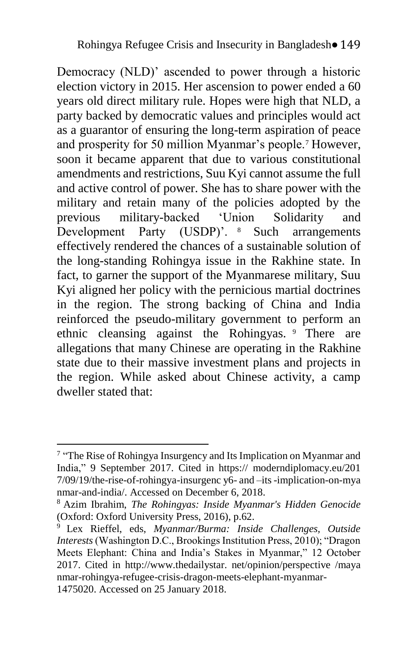Democracy (NLD)' ascended to power through a historic election victory in 2015. Her ascension to power ended a 60 years old direct military rule. Hopes were high that NLD, a party backed by democratic values and principles would act as a guarantor of ensuring the long-term aspiration of peace and prosperity for 50 million Myanmar's people.<sup>7</sup> However, soon it became apparent that due to various constitutional amendments and restrictions, Suu Kyi cannot assume the full and active control of power. She has to share power with the military and retain many of the policies adopted by the previous military-backed 'Union Solidarity and Development Party (USDP)'. <sup>8</sup> Such arrangements effectively rendered the chances of a sustainable solution of the long-standing Rohingya issue in the Rakhine state. In fact, to garner the support of the Myanmarese military, Suu Kyi aligned her policy with the pernicious martial doctrines in the region. The strong backing of China and India reinforced the pseudo-military government to perform an ethnic cleansing against the Rohingyas. <sup>9</sup> There are allegations that many Chinese are operating in the Rakhine state due to their massive investment plans and projects in the region. While asked about Chinese activity, a camp dweller stated that:

Terminon-<br>The Rise of Rohingya Insurgency and Its Implication on Myanmar and India," 9 September 2017. Cited in https:// moderndiplomacy.eu/201 7/09/19/the-rise-of-rohingya-insurgenc y6- and –its-implication-on-mya nmar-and-india/. Accessed on December 6, 2018.

<sup>8</sup> Azim Ibrahim, *The Rohingyas: Inside Myanmar's Hidden Genocide* (Oxford: Oxford University Press, 2016), p.62.

<sup>9</sup> Lex Rieffel, eds, *Myanmar/Burma: Inside Challenges, Outside Interests* (Washington D.C., Brookings Institution Press, 2010); "Dragon Meets Elephant: China and India's Stakes in Myanmar," 12 October 2017. Cited in http://www.thedailystar. net/opinion/perspective /maya nmar-rohingya-refugee-crisis-dragon-meets-elephant-myanmar-1475020. Accessed on 25 January 2018.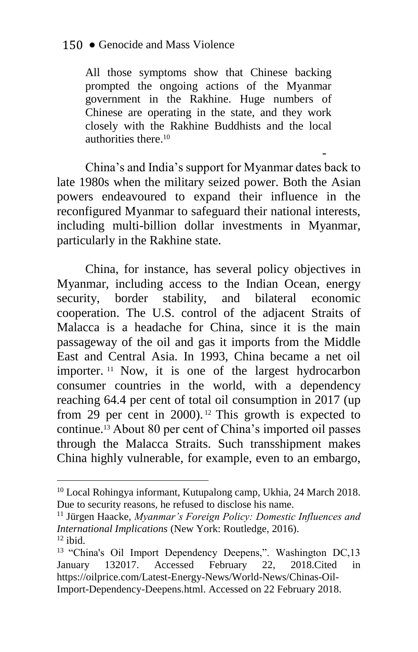All those symptoms show that Chinese backing prompted the ongoing actions of the Myanmar government in the Rakhine. Huge numbers of Chinese are operating in the state, and they work closely with the Rakhine Buddhists and the local authorities there  $10$ 

- China's and India's support for Myanmar dates back to late 1980s when the military seized power. Both the Asian powers endeavoured to expand their influence in the reconfigured Myanmar to safeguard their national interests, including multi-billion dollar investments in Myanmar, particularly in the Rakhine state.

China, for instance, has several policy objectives in Myanmar, including access to the Indian Ocean, energy security, border stability, and bilateral economic cooperation. The U.S. control of the adjacent Straits of Malacca is a headache for China, since it is the main passageway of the oil and gas it imports from the Middle East and Central Asia. In 1993, China became a net oil importer. <sup>11</sup> Now, it is one of the largest hydrocarbon consumer countries in the world, with a dependency reaching 64.4 per cent of total oil consumption in 2017 (up from 29 per cent in 2000). <sup>12</sup> This growth is expected to continue.<sup>13</sup> About 80 per cent of China's imported oil passes through the Malacca Straits. Such transshipment makes China highly vulnerable, for example, even to an embargo,

<sup>10</sup> Local Rohingya informant, Kutupalong camp, Ukhia, 24 March 2018. Due to security reasons, he refused to disclose his name.

<sup>11</sup> Jürgen Haacke, *Myanmar's Foreign Policy: Domestic Influences and International Implications* (New York: Routledge, 2016).  $12$  ibid.

<sup>&</sup>lt;sup>13</sup> "China's Oil Import Dependency Deepens,". Washington DC,13 January 132017. Accessed February 22, 2018.Cited in https://oilprice.com/Latest-Energy-News/World-News/Chinas-Oil-Import-Dependency-Deepens.html. Accessed on 22 February 2018.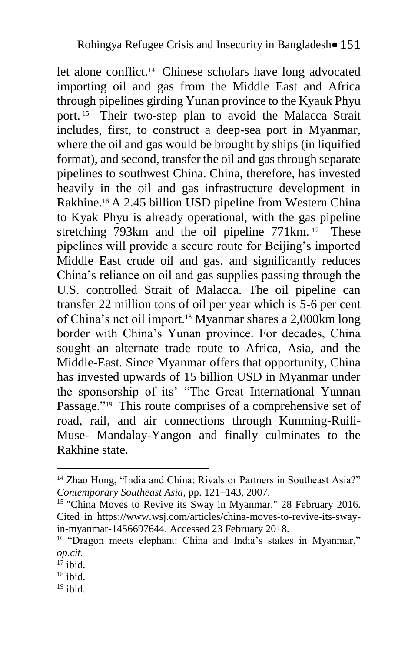let alone conflict.<sup>14</sup> Chinese scholars have long advocated importing oil and gas from the Middle East and Africa through pipelines girding Yunan province to the Kyauk Phyu port. <sup>15</sup> Their two-step plan to avoid the Malacca Strait includes, first, to construct a deep-sea port in Myanmar, where the oil and gas would be brought by ships (in liquified format), and second, transfer the oil and gas through separate pipelines to southwest China. China, therefore, has invested heavily in the oil and gas infrastructure development in Rakhine.<sup>16</sup> A 2.45 billion USD pipeline from Western China to Kyak Phyu is already operational, with the gas pipeline stretching 793km and the oil pipeline 771km.<sup>17</sup> These pipelines will provide a secure route for Beijing's imported Middle East crude oil and gas, and significantly reduces China's reliance on oil and gas supplies passing through the U.S. controlled Strait of Malacca. The oil pipeline can transfer 22 million tons of oil per year which is 5-6 per cent of China's net oil import.<sup>18</sup> Myanmar shares a 2,000km long border with China's Yunan province. For decades, China sought an alternate trade route to Africa, Asia, and the Middle-East. Since Myanmar offers that opportunity, China has invested upwards of 15 billion USD in Myanmar under the sponsorship of its' "The Great International Yunnan Passage."<sup>19</sup> This route comprises of a comprehensive set of road, rail, and air connections through Kunming-Ruili-Muse- Mandalay-Yangon and finally culminates to the Rakhine state.

<u>.</u>

<sup>&</sup>lt;sup>14</sup> Zhao Hong, "India and China: Rivals or Partners in Southeast Asia?" *Contemporary Southeast Asia*, pp. 121–143, 2007.

<sup>&</sup>lt;sup>15</sup> "China Moves to Revive its Sway in Myanmar." 28 February 2016. Cited in https://www.wsj.com/articles/china-moves-to-revive-its-swayin-myanmar-1456697644. Accessed 23 February 2018.

<sup>&</sup>lt;sup>16</sup> "Dragon meets elephant: China and India's stakes in Myanmar," *op.cit.*

 $17$  ibid.

 $18$  ibid.

 $19$  ibid.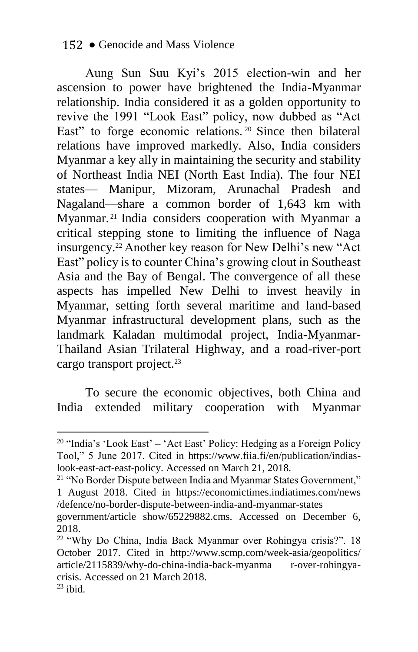Aung Sun Suu Kyi's 2015 election-win and her ascension to power have brightened the India-Myanmar relationship. India considered it as a golden opportunity to revive the 1991 "Look East" policy, now dubbed as "Act East" to forge economic relations.<sup>20</sup> Since then bilateral relations have improved markedly. Also, India considers Myanmar a key ally in maintaining the security and stability of Northeast India NEI (North East India). The four NEI states— Manipur, Mizoram, Arunachal Pradesh and Nagaland—share a common border of 1,643 km with Myanmar. <sup>21</sup> India considers cooperation with Myanmar a critical stepping stone to limiting the influence of Naga insurgency.<sup>22</sup> Another key reason for New Delhi's new "Act East" policy is to counter China's growing clout in Southeast Asia and the Bay of Bengal. The convergence of all these aspects has impelled New Delhi to invest heavily in Myanmar, setting forth several maritime and land-based Myanmar infrastructural development plans, such as the landmark Kaladan multimodal project, India-Myanmar-Thailand Asian Trilateral Highway, and a road-river-port cargo transport project.<sup>23</sup>

To secure the economic objectives, both China and India extended military cooperation with Myanmar

<sup>&</sup>lt;sup>20</sup> "India's 'Look East' – 'Act East' Policy: Hedging as a Foreign Policy Tool," 5 June 2017. Cited in https://www.fiia.fi/en/publication/indiaslook-east-act-east-policy. Accessed on March 21, 2018.

<sup>&</sup>lt;sup>21</sup> "No Border Dispute between India and Myanmar States Government," 1 August 2018. Cited in https://economictimes.indiatimes.com/news /defence/no-border-dispute-between-india-and-myanmar-states

government/article show/65229882.cms. Accessed on December 6, 2018.

<sup>22</sup> "Why Do China, India Back Myanmar over Rohingya crisis?". 18 October 2017. Cited in http://www.scmp.com/week-asia/geopolitics/ article/2115839/why-do-china-india-back-myanma r-over-rohingyacrisis. Accessed on 21 March 2018.

 $23$  ibid.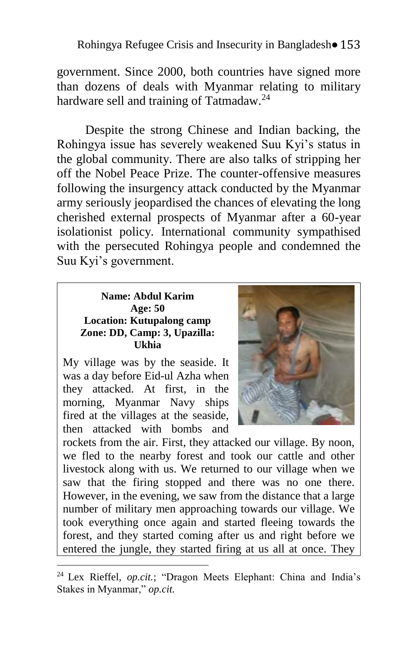#### Rohingya Refugee Crisis and Insecurity in Bangladesh• 153

government. Since 2000, both countries have signed more than dozens of deals with Myanmar relating to military hardware sell and training of Tatmadaw.<sup>24</sup>

Despite the strong Chinese and Indian backing, the Rohingya issue has severely weakened Suu Kyi's status in the global community. There are also talks of stripping her off the Nobel Peace Prize. The counter-offensive measures following the insurgency attack conducted by the Myanmar army seriously jeopardised the chances of elevating the long cherished external prospects of Myanmar after a 60-year isolationist policy. International community sympathised with the persecuted Rohingya people and condemned the Suu Kyi's government.

#### **Name: Abdul Karim Age: 50 Location: Kutupalong camp Zone: DD, Camp: 3, Upazilla: Ukhia**

My village was by the seaside. It was a day before Eid-ul Azha when they attacked. At first, in the morning, Myanmar Navy ships fired at the villages at the seaside, then attacked with bombs and

<u>.</u>



rockets from the air. First, they attacked our village. By noon, we fled to the nearby forest and took our cattle and other livestock along with us. We returned to our village when we saw that the firing stopped and there was no one there. However, in the evening, we saw from the distance that a large number of military men approaching towards our village. We took everything once again and started fleeing towards the forest, and they started coming after us and right before we entered the jungle, they started firing at us all at once. They

<sup>24</sup> Lex Rieffel, *op.cit.*; "Dragon Meets Elephant: China and India's Stakes in Myanmar," *op.cit.*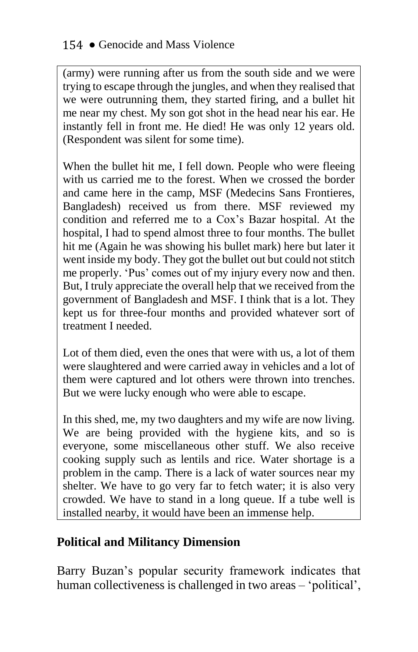(army) were running after us from the south side and we were trying to escape through the jungles, and when they realised that we were outrunning them, they started firing, and a bullet hit me near my chest. My son got shot in the head near his ear. He instantly fell in front me. He died! He was only 12 years old. (Respondent was silent for some time).

When the bullet hit me, I fell down. People who were fleeing with us carried me to the forest. When we crossed the border and came here in the camp, MSF (Medecins Sans Frontieres, Bangladesh) received us from there. MSF reviewed my condition and referred me to a Cox's Bazar hospital. At the hospital, I had to spend almost three to four months. The bullet hit me (Again he was showing his bullet mark) here but later it went inside my body. They got the bullet out but could not stitch me properly. 'Pus' comes out of my injury every now and then. But, I truly appreciate the overall help that we received from the government of Bangladesh and MSF. I think that is a lot. They kept us for three-four months and provided whatever sort of treatment I needed.

Lot of them died, even the ones that were with us, a lot of them were slaughtered and were carried away in vehicles and a lot of them were captured and lot others were thrown into trenches. But we were lucky enough who were able to escape.

In this shed, me, my two daughters and my wife are now living. We are being provided with the hygiene kits, and so is everyone, some miscellaneous other stuff. We also receive cooking supply such as lentils and rice. Water shortage is a problem in the camp. There is a lack of water sources near my shelter. We have to go very far to fetch water; it is also very crowded. We have to stand in a long queue. If a tube well is installed nearby, it would have been an immense help.

### **Political and Militancy Dimension**

Barry Buzan's popular security framework indicates that human collectiveness is challenged in two areas – 'political',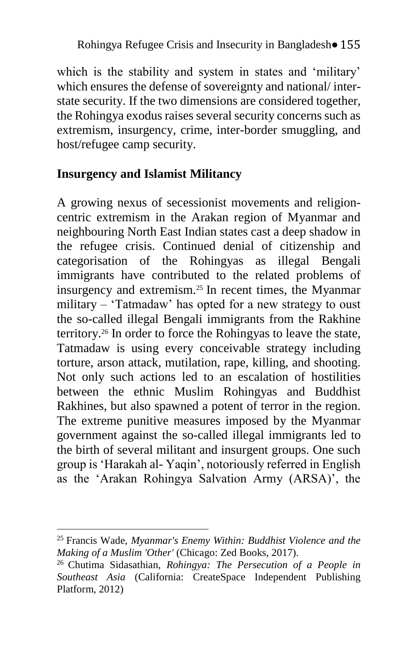which is the stability and system in states and 'military' which ensures the defense of sovereignty and national/ interstate security. If the two dimensions are considered together, the Rohingya exodus raises several security concerns such as extremism, insurgency, crime, inter-border smuggling, and host/refugee camp security.

## **Insurgency and Islamist Militancy**

A growing nexus of secessionist movements and religioncentric extremism in the Arakan region of Myanmar and neighbouring North East Indian states cast a deep shadow in the refugee crisis. Continued denial of citizenship and categorisation of the Rohingyas as illegal Bengali immigrants have contributed to the related problems of insurgency and extremism.<sup>25</sup> In recent times, the Myanmar military – 'Tatmadaw' has opted for a new strategy to oust the so-called illegal Bengali immigrants from the Rakhine territory.<sup>26</sup> In order to force the Rohingyas to leave the state, Tatmadaw is using every conceivable strategy including torture, arson attack, mutilation, rape, killing, and shooting. Not only such actions led to an escalation of hostilities between the ethnic Muslim Rohingyas and Buddhist Rakhines, but also spawned a potent of terror in the region. The extreme punitive measures imposed by the Myanmar government against the so-called illegal immigrants led to the birth of several militant and insurgent groups. One such group is 'Harakah al- Yaqin', notoriously referred in English as the 'Arakan Rohingya Salvation Army (ARSA)', the

<sup>25</sup> Francis Wade, *Myanmar's Enemy Within: Buddhist Violence and the Making of a Muslim 'Other'* (Chicago: Zed Books, 2017).

<sup>26</sup> Chutima Sidasathian, *Rohingya: The Persecution of a People in Southeast Asia* (California: CreateSpace Independent Publishing Platform, 2012)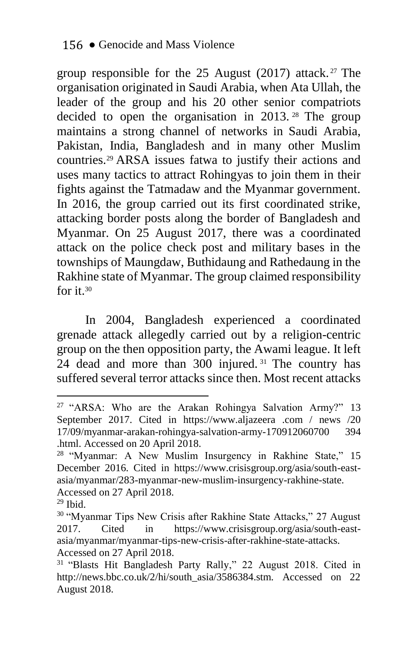group responsible for the 25 August (2017) attack. <sup>27</sup> The organisation originated in Saudi Arabia, when Ata Ullah, the leader of the group and his 20 other senior compatriots decided to open the organisation in 2013. <sup>28</sup> The group maintains a strong channel of networks in Saudi Arabia, Pakistan, India, Bangladesh and in many other Muslim countries.<sup>29</sup> ARSA issues fatwa to justify their actions and uses many tactics to attract Rohingyas to join them in their fights against the Tatmadaw and the Myanmar government. In 2016, the group carried out its first coordinated strike, attacking border posts along the border of Bangladesh and Myanmar. On 25 August 2017, there was a coordinated attack on the police check post and military bases in the townships of Maungdaw, Buthidaung and Rathedaung in the Rakhine state of Myanmar. The group claimed responsibility for it.  $30$ 

In 2004, Bangladesh experienced a coordinated grenade attack allegedly carried out by a religion-centric group on the then opposition party, the Awami league. It left 24 dead and more than 300 injured. <sup>31</sup> The country has suffered several terror attacks since then. Most recent attacks

<u>.</u>

<sup>&</sup>lt;sup>27</sup> "ARSA: Who are the Arakan Rohingya Salvation Army?" 13 September 2017. Cited in https://www.aljazeera .com / news /20 17/09/myanmar-arakan-rohingya-salvation-army-170912060700 394 .html. Accessed on 20 April 2018.

<sup>&</sup>lt;sup>28</sup> "Myanmar: A New Muslim Insurgency in Rakhine State," 15 December 2016. Cited in https://www.crisisgroup.org/asia/south-eastasia/myanmar/283-myanmar-new-muslim-insurgency-rakhine-state. Accessed on 27 April 2018.

 $29$  Ibid.

<sup>&</sup>lt;sup>30</sup> "Myanmar Tips New Crisis after Rakhine State Attacks," 27 August 2017. Cited in https://www.crisisgroup.org/asia/south-eastasia/myanmar/myanmar-tips-new-crisis-after-rakhine-state-attacks. Accessed on 27 April 2018.

<sup>&</sup>lt;sup>31</sup> "Blasts Hit Bangladesh Party Rally," 22 August 2018. Cited in http://news.bbc.co.uk/2/hi/south\_asia/3586384.stm. Accessed on 22 August 2018.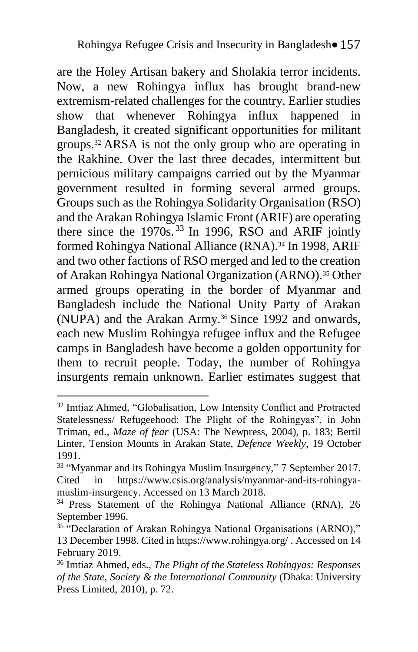are the Holey Artisan bakery and Sholakia terror incidents. Now, a new Rohingya influx has brought brand-new extremism-related challenges for the country. Earlier studies show that whenever Rohingya influx happened in Bangladesh, it created significant opportunities for militant groups.<sup>32</sup> ARSA is not the only group who are operating in the Rakhine. Over the last three decades, intermittent but pernicious military campaigns carried out by the Myanmar government resulted in forming several armed groups. Groups such as the Rohingya Solidarity Organisation (RSO) and the Arakan Rohingya Islamic Front (ARIF) are operating there since the  $1970s$ .<sup>33</sup> In 1996, RSO and ARIF jointly formed Rohingya National Alliance (RNA).<sup>34</sup> In 1998, ARIF and two other factions of RSO merged and led to the creation of Arakan Rohingya National Organization (ARNO).<sup>35</sup> Other armed groups operating in the border of Myanmar and Bangladesh include the National Unity Party of Arakan (NUPA) and the Arakan Army.<sup>36</sup> Since 1992 and onwards, each new Muslim Rohingya refugee influx and the Refugee camps in Bangladesh have become a golden opportunity for them to recruit people. Today, the number of Rohingya insurgents remain unknown. Earlier estimates suggest that

<u>.</u>

<sup>&</sup>lt;sup>32</sup> Imtiaz Ahmed, "Globalisation, Low Intensity Conflict and Protracted Statelessness/ Refugeehood: The Plight of the Rohingyas", in John Triman, ed., *Maze of fear* (USA: The Newpress, 2004), p. 183; Bertil Linter, Tension Mounts in Arakan State, *Defence Weekly*, 19 October 1991.

<sup>&</sup>lt;sup>33</sup> "Myanmar and its Rohingya Muslim Insurgency," 7 September 2017. Cited in https://www.csis.org/analysis/myanmar-and-its-rohingyamuslim-insurgency. Accessed on 13 March 2018.

<sup>&</sup>lt;sup>34</sup> Press Statement of the Rohingya National Alliance (RNA), 26 September 1996.

<sup>&</sup>lt;sup>35</sup> "Declaration of Arakan Rohingya National Organisations (ARNO)," 13 December 1998. Cited in https://www.rohingya.org/ . Accessed on 14 February 2019.

<sup>36</sup> Imtiaz Ahmed, eds., *The Plight of the Stateless Rohingyas: Responses of the State, Society & the International Community* (Dhaka: University Press Limited, 2010), p. 72.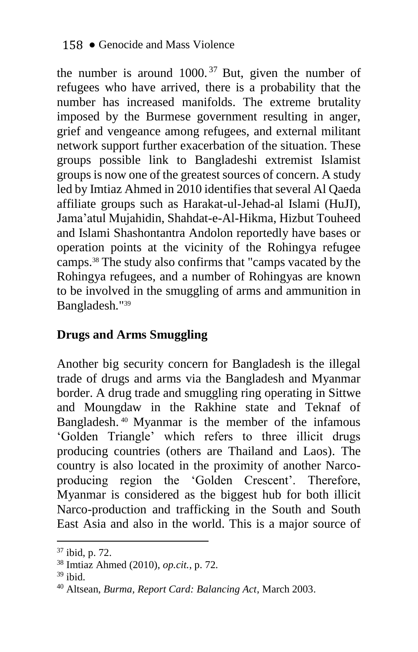the number is around  $1000$ .<sup>37</sup> But, given the number of refugees who have arrived, there is a probability that the number has increased manifolds. The extreme brutality imposed by the Burmese government resulting in anger, grief and vengeance among refugees, and external militant network support further exacerbation of the situation. These groups possible link to Bangladeshi extremist Islamist groups is now one of the greatest sources of concern. A study led by Imtiaz Ahmed in 2010 identifies that several Al Qaeda affiliate groups such as Harakat-ul-Jehad-al Islami (HuJI), Jama'atul Mujahidin, Shahdat-e-Al-Hikma, Hizbut Touheed and Islami Shashontantra Andolon reportedly have bases or operation points at the vicinity of the Rohingya refugee camps.<sup>38</sup> The study also confirms that "camps vacated by the Rohingya refugees, and a number of Rohingyas are known to be involved in the smuggling of arms and ammunition in Bangladesh*.*" 39

### **Drugs and Arms Smuggling**

Another big security concern for Bangladesh is the illegal trade of drugs and arms via the Bangladesh and Myanmar border. A drug trade and smuggling ring operating in Sittwe and Moungdaw in the Rakhine state and Teknaf of Bangladesh. <sup>40</sup> Myanmar is the member of the infamous 'Golden Triangle' which refers to three illicit drugs producing countries (others are Thailand and Laos). The country is also located in the proximity of another Narcoproducing region the 'Golden Crescent'. Therefore, Myanmar is considered as the biggest hub for both illicit Narco-production and trafficking in the South and South East Asia and also in the world. This is a major source of

<sup>37</sup> ibid, p. 72.

<sup>38</sup> Imtiaz Ahmed (2010), *op.cit.*, p. 72.

 $39$  ibid.

<sup>40</sup> Altsean, *Burma, Report Card: Balancing Act*, March 2003.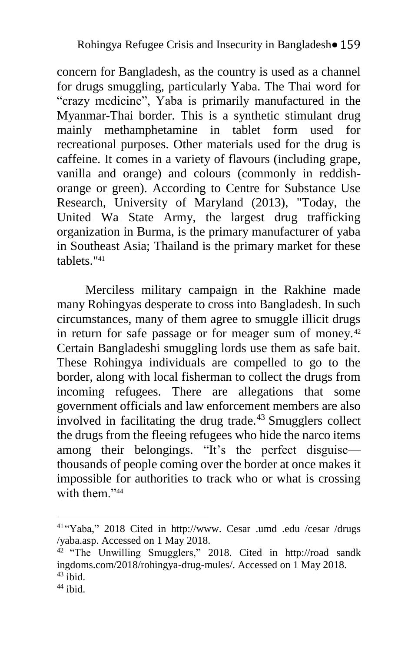concern for Bangladesh, as the country is used as a channel for drugs smuggling, particularly Yaba. The Thai word for "crazy medicine", Yaba is primarily manufactured in the Myanmar-Thai border. This is a synthetic stimulant drug mainly methamphetamine in tablet form used for recreational purposes. Other materials used for the drug is caffeine. It comes in a variety of flavours (including grape, vanilla and orange) and colours (commonly in reddishorange or green). According to Centre for Substance Use Research, University of Maryland (2013), "Today, the United Wa State Army, the largest drug trafficking organization in Burma, is the primary manufacturer of yaba in Southeast Asia; Thailand is the primary market for these tablets." 41

Merciless military campaign in the Rakhine made many Rohingyas desperate to cross into Bangladesh. In such circumstances, many of them agree to smuggle illicit drugs in return for safe passage or for meager sum of money.<sup>42</sup> Certain Bangladeshi smuggling lords use them as safe bait. These Rohingya individuals are compelled to go to the border, along with local fisherman to collect the drugs from incoming refugees. There are allegations that some government officials and law enforcement members are also involved in facilitating the drug trade. $43$  Smugglers collect the drugs from the fleeing refugees who hide the narco items among their belongings. "It's the perfect disguise thousands of people coming over the border at once makes it impossible for authorities to track who or what is crossing with them."<sup>44</sup>

 41 "Yaba," 2018 Cited in http://www. Cesar .umd .edu /cesar /drugs /yaba.asp. Accessed on 1 May 2018.

<sup>&</sup>lt;sup>42</sup> "The Unwilling Smugglers," 2018. Cited in http://road sandk ingdoms.com/2018/rohingya-drug-mules/. Accessed on 1 May 2018.  $43$  ibid.

 $44$  ibid.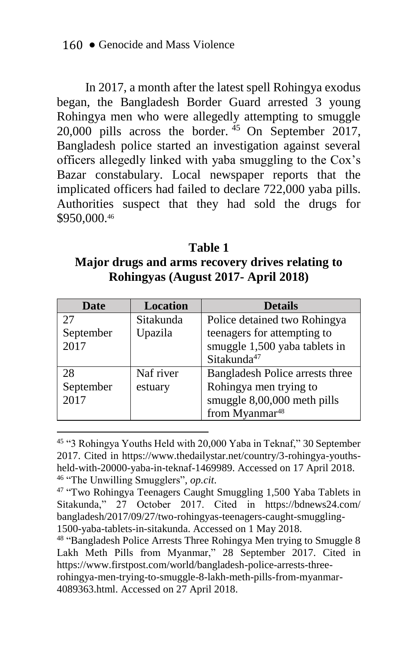In 2017, a month after the latest spell Rohingya exodus began, the Bangladesh Border Guard arrested 3 young Rohingya men who were allegedly attempting to smuggle  $20,000$  pills across the border.  $45$  On September 2017, Bangladesh police started an investigation against several officers allegedly linked with yaba smuggling to the Cox's Bazar constabulary. Local newspaper reports that the implicated officers had failed to declare 722,000 yaba pills. Authorities suspect that they had sold the drugs for \$950,000.<sup>46</sup>

**Table 1 Major drugs and arms recovery drives relating to Rohingyas (August 2017- April 2018)**

| Date      | <b>Location</b> | <b>Details</b>                  |
|-----------|-----------------|---------------------------------|
| 27        | Sitakunda       | Police detained two Rohingya    |
| September | Upazila         | teenagers for attempting to     |
| 2017      |                 | smuggle 1,500 yaba tablets in   |
|           |                 | Sitakunda <sup>47</sup>         |
| 28        | Naf river       | Bangladesh Police arrests three |
| September | estuary         | Rohingya men trying to          |
| 2017      |                 | smuggle 8,00,000 meth pills     |
|           |                 | from Myanmar <sup>48</sup>      |

<sup>45</sup> "3 Rohingya Youths Held with 20,000 Yaba in Teknaf," 30 September 2017. Cited in https://www.thedailystar.net/country/3-rohingya-youthsheld-with-20000-yaba-in-teknaf-1469989. Accessed on 17 April 2018. 46 "The Unwilling Smugglers", *op.cit*.

<sup>&</sup>lt;sup>47</sup> "Two Rohingya Teenagers Caught Smuggling 1,500 Yaba Tablets in Sitakunda," 27 October 2017. Cited in https://bdnews24.com/ bangladesh/2017/09/27/two-rohingyas-teenagers-caught-smuggling-1500-yaba-tablets-in-sitakunda. Accessed on 1 May 2018.

<sup>&</sup>lt;sup>48</sup> "Bangladesh Police Arrests Three Rohingya Men trying to Smuggle 8 Lakh Meth Pills from Myanmar," 28 September 2017. Cited in https://www.firstpost.com/world/bangladesh-police-arrests-threerohingya-men-trying-to-smuggle-8-lakh-meth-pills-from-myanmar-4089363.html. Accessed on 27 April 2018.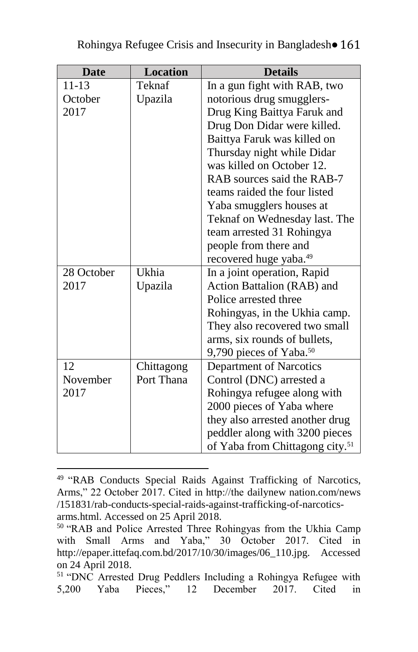| <b>Date</b> | <b>Location</b> | <b>Details</b>                              |
|-------------|-----------------|---------------------------------------------|
| 11-13       | Teknaf          | In a gun fight with RAB, two                |
| October     | Upazila         | notorious drug smugglers-                   |
| 2017        |                 | Drug King Baittya Faruk and                 |
|             |                 | Drug Don Didar were killed.                 |
|             |                 | Baittya Faruk was killed on                 |
|             |                 | Thursday night while Didar                  |
|             |                 | was killed on October 12.                   |
|             |                 | RAB sources said the RAB-7                  |
|             |                 | teams raided the four listed                |
|             |                 | Yaba smugglers houses at                    |
|             |                 | Teknaf on Wednesday last. The               |
|             |                 | team arrested 31 Rohingya                   |
|             |                 | people from there and                       |
|             |                 | recovered huge yaba. <sup>49</sup>          |
| 28 October  | Ukhia           | In a joint operation, Rapid                 |
| 2017        | Upazila         | Action Battalion (RAB) and                  |
|             |                 | Police arrested three                       |
|             |                 | Rohingyas, in the Ukhia camp.               |
|             |                 | They also recovered two small               |
|             |                 | arms, six rounds of bullets,                |
|             |                 | 9,790 pieces of Yaba. $50$                  |
| 12          | Chittagong      | Department of Narcotics                     |
| November    | Port Thana      | Control (DNC) arrested a                    |
| 2017        |                 | Rohingya refugee along with                 |
|             |                 | 2000 pieces of Yaba where                   |
|             |                 | they also arrested another drug             |
|             |                 | peddler along with 3200 pieces              |
|             |                 | of Yaba from Chittagong city. <sup>51</sup> |

<sup>&</sup>lt;u>.</u> <sup>49</sup> "RAB Conducts Special Raids Against Trafficking of Narcotics, Arms," 22 October 2017. Cited in http://the dailynew nation.com/news /151831/rab-conducts-special-raids-against-trafficking-of-narcoticsarms.html. Accessed on 25 April 2018.

<sup>50</sup> "RAB and Police Arrested Three Rohingyas from the Ukhia Camp with Small Arms and Yaba," 30 October 2017. Cited in http://epaper.ittefaq.com.bd/2017/10/30/images/06\_110.jpg. Accessed on 24 April 2018.

<sup>&</sup>lt;sup>51</sup> "DNC Arrested Drug Peddlers Including a Rohingya Refugee with  $5.200$  Yaba Pieces," 12 December 2017. Cited in 5,200 Yaba Pieces," 12 December 2017. Cited in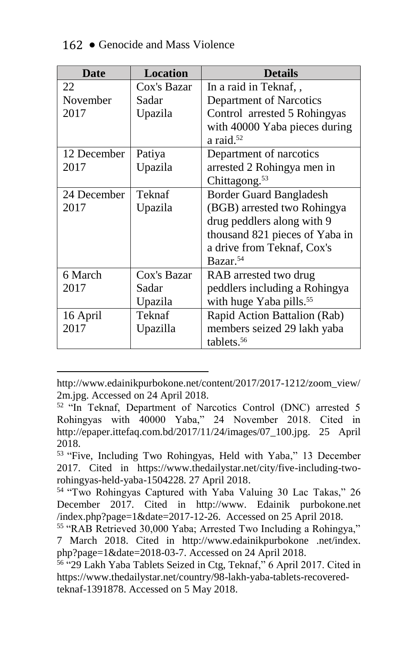| <b>Date</b> | <b>Location</b> | <b>Details</b>                      |
|-------------|-----------------|-------------------------------------|
| 22          | Cox's Bazar     | In a raid in Teknaf, ,              |
| November    | Sadar           | Department of Narcotics             |
| 2017        | Upazila         | Control arrested 5 Rohingyas        |
|             |                 | with 40000 Yaba pieces during       |
|             |                 | a raid. $52$                        |
| 12 December | Patiya          | Department of narcotics             |
| 2017        | Upazila         | arrested 2 Rohingya men in          |
|             |                 | Chittagong. <sup>53</sup>           |
| 24 December | Teknaf          | <b>Border Guard Bangladesh</b>      |
| 2017        | Upazila         | (BGB) arrested two Rohingya         |
|             |                 | drug peddlers along with 9          |
|             |                 | thousand 821 pieces of Yaba in      |
|             |                 | a drive from Teknaf, Cox's          |
|             |                 | Bazar. <sup>54</sup>                |
| 6 March     | Cox's Bazar     | RAB arrested two drug               |
| 2017        | Sadar           | peddlers including a Rohingya       |
|             | Upazila         | with huge Yaba pills. <sup>55</sup> |
| 16 April    | Teknaf          | Rapid Action Battalion (Rab)        |
| 2017        | Upazilla        | members seized 29 lakh yaba         |
|             |                 | tablets. <sup>56</sup>              |

http://www.edainikpurbokone.net/content/2017/2017-1212/zoom\_view/ 2m.jpg. Accessed on 24 April 2018.

<sup>52</sup> "In Teknaf, Department of Narcotics Control (DNC) arrested 5 Rohingyas with 40000 Yaba," 24 November 2018. Cited in http://epaper.ittefaq.com.bd/2017/11/24/images/07\_100.jpg. 25 April 2018.

<sup>53</sup> "Five, Including Two Rohingyas, Held with Yaba," 13 December 2017. Cited in https://www.thedailystar.net/city/five-including-tworohingyas-held-yaba-1504228. 27 April 2018.

<sup>54</sup> "Two Rohingyas Captured with Yaba Valuing 30 Lac Takas," 26 December 2017. Cited in http://www. Edainik purbokone.net /index.php?page=1&date=2017-12-26. Accessed on 25 April 2018.

<sup>55</sup> "RAB Retrieved 30,000 Yaba; Arrested Two Including a Rohingya," 7 March 2018. Cited in http://www.edainikpurbokone .net/index. php?page=1&date=2018-03-7. Accessed on 24 April 2018.

<sup>56</sup> "29 Lakh Yaba Tablets Seized in Ctg, Teknaf," 6 April 2017. Cited in https://www.thedailystar.net/country/98-lakh-yaba-tablets-recoveredteknaf-1391878. Accessed on 5 May 2018.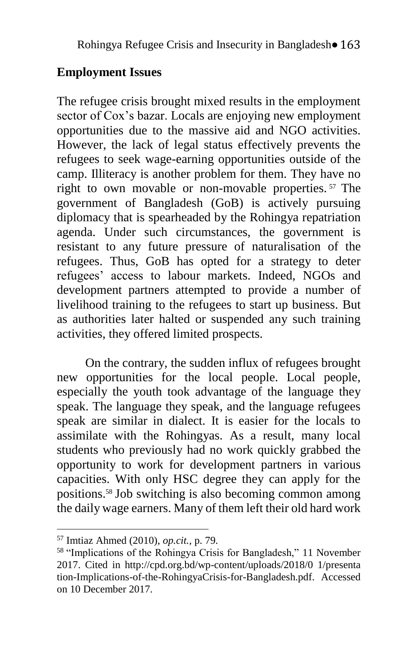### **Employment Issues**

The refugee crisis brought mixed results in the employment sector of Cox's bazar. Locals are enjoying new employment opportunities due to the massive aid and NGO activities. However, the lack of legal status effectively prevents the refugees to seek wage-earning opportunities outside of the camp. Illiteracy is another problem for them. They have no right to own movable or non-movable properties. <sup>57</sup> The government of Bangladesh (GoB) is actively pursuing diplomacy that is spearheaded by the Rohingya repatriation agenda. Under such circumstances, the government is resistant to any future pressure of naturalisation of the refugees. Thus, GoB has opted for a strategy to deter refugees' access to labour markets. Indeed, NGOs and development partners attempted to provide a number of livelihood training to the refugees to start up business. But as authorities later halted or suspended any such training activities, they offered limited prospects.

On the contrary, the sudden influx of refugees brought new opportunities for the local people. Local people, especially the youth took advantage of the language they speak. The language they speak, and the language refugees speak are similar in dialect. It is easier for the locals to assimilate with the Rohingyas. As a result, many local students who previously had no work quickly grabbed the opportunity to work for development partners in various capacities. With only HSC degree they can apply for the positions.<sup>58</sup> Job switching is also becoming common among the daily wage earners. Many of them left their old hard work

<sup>57</sup> Imtiaz Ahmed (2010), *op.cit.,* p. 79.

<sup>58</sup> "Implications of the Rohingya Crisis for Bangladesh," 11 November 2017. Cited in http://cpd.org.bd/wp-content/uploads/2018/0 1/presenta tion-Implications-of-the-RohingyaCrisis-for-Bangladesh.pdf. Accessed on 10 December 2017.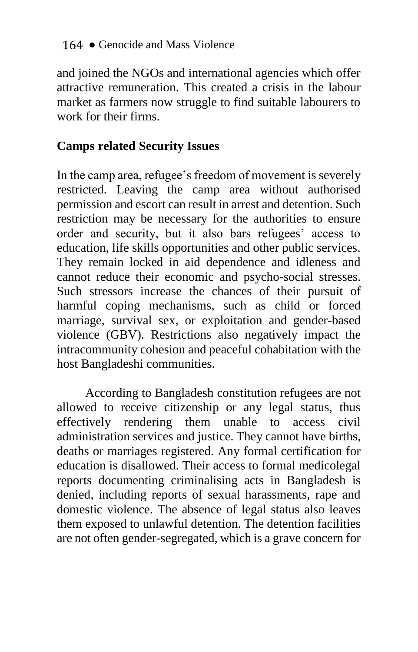and joined the NGOs and international agencies which offer attractive remuneration. This created a crisis in the labour market as farmers now struggle to find suitable labourers to work for their firms.

### **Camps related Security Issues**

In the camp area, refugee's freedom of movement is severely restricted. Leaving the camp area without authorised permission and escort can result in arrest and detention. Such restriction may be necessary for the authorities to ensure order and security, but it also bars refugees' access to education, life skills opportunities and other public services. They remain locked in aid dependence and idleness and cannot reduce their economic and psycho-social stresses. Such stressors increase the chances of their pursuit of harmful coping mechanisms, such as child or forced marriage, survival sex, or exploitation and gender-based violence (GBV). Restrictions also negatively impact the intracommunity cohesion and peaceful cohabitation with the host Bangladeshi communities.

According to Bangladesh constitution refugees are not allowed to receive citizenship or any legal status, thus effectively rendering them unable to access civil administration services and justice. They cannot have births, deaths or marriages registered. Any formal certification for education is disallowed. Their access to formal medicolegal reports documenting criminalising acts in Bangladesh is denied, including reports of sexual harassments, rape and domestic violence. The absence of legal status also leaves them exposed to unlawful detention. The detention facilities are not often gender-segregated, which is a grave concern for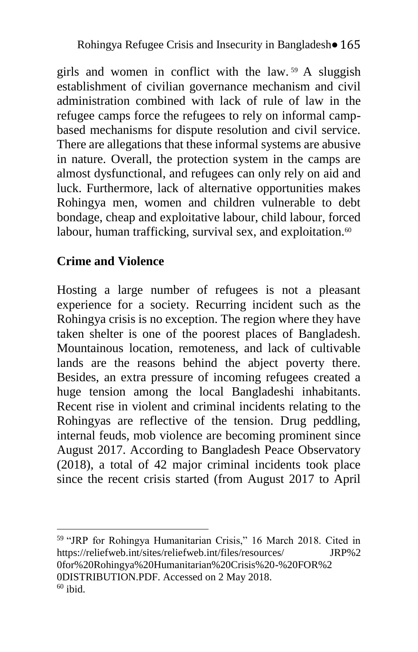girls and women in conflict with the law. <sup>59</sup> A sluggish establishment of civilian governance mechanism and civil administration combined with lack of rule of law in the refugee camps force the refugees to rely on informal campbased mechanisms for dispute resolution and civil service. There are allegations that these informal systems are abusive in nature. Overall, the protection system in the camps are almost dysfunctional, and refugees can only rely on aid and luck. Furthermore, lack of alternative opportunities makes Rohingya men, women and children vulnerable to debt bondage, cheap and exploitative labour, child labour, forced labour, human trafficking, survival sex, and exploitation.<sup>60</sup>

## **Crime and Violence**

1

Hosting a large number of refugees is not a pleasant experience for a society. Recurring incident such as the Rohingya crisis is no exception. The region where they have taken shelter is one of the poorest places of Bangladesh. Mountainous location, remoteness, and lack of cultivable lands are the reasons behind the abject poverty there. Besides, an extra pressure of incoming refugees created a huge tension among the local Bangladeshi inhabitants. Recent rise in violent and criminal incidents relating to the Rohingyas are reflective of the tension. Drug peddling, internal feuds, mob violence are becoming prominent since August 2017. According to Bangladesh Peace Observatory (2018), a total of 42 major criminal incidents took place since the recent crisis started (from August 2017 to April

59 "JRP for Rohingya Humanitarian Crisis," 16 March 2018. Cited in https://reliefweb.int/sites/reliefweb.int/files/resources/ JRP%2 0for%20Rohingya%20Humanitarian%20Crisis%20-%20FOR%2 0DISTRIBUTION.PDF. Accessed on 2 May 2018.  $60$  ibid.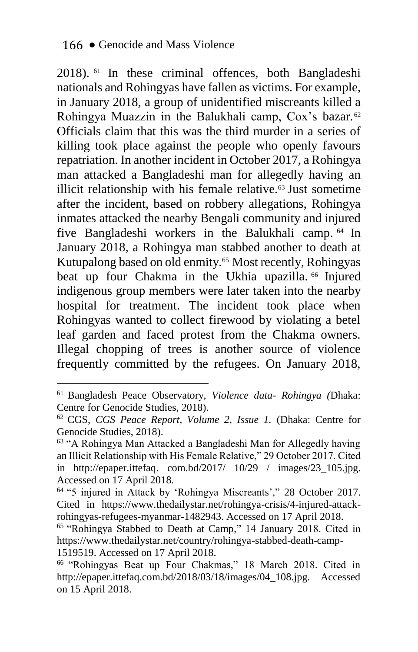2018). <sup>61</sup> In these criminal offences, both Bangladeshi nationals and Rohingyas have fallen as victims. For example, in January 2018, a group of unidentified miscreants killed a Rohingya Muazzin in the Balukhali camp, Cox's bazar. 62 Officials claim that this was the third murder in a series of killing took place against the people who openly favours repatriation. In another incident in October 2017, a Rohingya man attacked a Bangladeshi man for allegedly having an illicit relationship with his female relative.<sup>63</sup> Just sometime after the incident, based on robbery allegations, Rohingya inmates attacked the nearby Bengali community and injured five Bangladeshi workers in the Balukhali camp. <sup>64</sup> In January 2018, a Rohingya man stabbed another to death at Kutupalong based on old enmity.<sup>65</sup> Most recently, Rohingyas beat up four Chakma in the Ukhia upazilla. <sup>66</sup> Injured indigenous group members were later taken into the nearby hospital for treatment. The incident took place when Rohingyas wanted to collect firewood by violating a betel leaf garden and faced protest from the Chakma owners. Illegal chopping of trees is another source of violence frequently committed by the refugees. On January 2018,

<u>.</u>

<sup>61</sup> Bangladesh Peace Observatory, *Violence data- Rohingya (*Dhaka: Centre for Genocide Studies, 2018).

<sup>62</sup> CGS, *CGS Peace Report, Volume 2, Issue 1.* (Dhaka: Centre for Genocide Studies, 2018).

<sup>63</sup> "A Rohingya Man Attacked a Bangladeshi Man for Allegedly having an Illicit Relationship with His Female Relative," 29 October 2017. Cited in http://epaper.ittefaq. com.bd/2017/ 10/29 / images/23\_105.jpg. Accessed on 17 April 2018.

<sup>64</sup> "5 injured in Attack by 'Rohingya Miscreants'," 28 October 2017. Cited in https://www.thedailystar.net/rohingya-crisis/4-injured-attackrohingyas-refugees-myanmar-1482943. Accessed on 17 April 2018.

<sup>65</sup> "Rohingya Stabbed to Death at Camp," 14 January 2018. Cited in https://www.thedailystar.net/country/rohingya-stabbed-death-camp-1519519. Accessed on 17 April 2018.

<sup>66</sup> "Rohingyas Beat up Four Chakmas," 18 March 2018. Cited in http://epaper.ittefaq.com.bd/2018/03/18/images/04\_108.jpg. Accessed on 15 April 2018.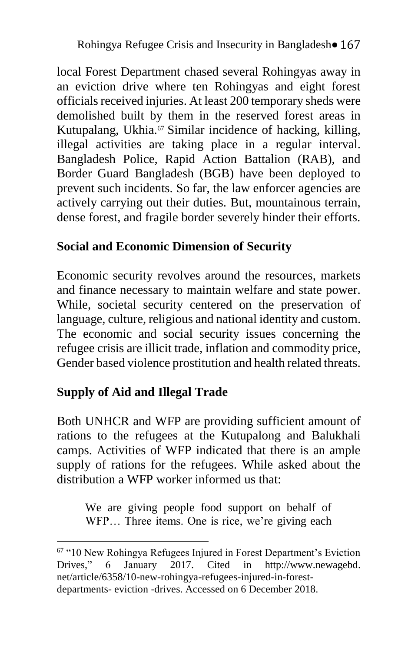local Forest Department chased several Rohingyas away in an eviction drive where ten Rohingyas and eight forest officials received injuries. At least 200 temporary sheds were demolished built by them in the reserved forest areas in Kutupalang, Ukhia.<sup>67</sup> Similar incidence of hacking, killing, illegal activities are taking place in a regular interval. Bangladesh Police, Rapid Action Battalion (RAB), and Border Guard Bangladesh (BGB) have been deployed to prevent such incidents. So far, the law enforcer agencies are actively carrying out their duties. But, mountainous terrain, dense forest, and fragile border severely hinder their efforts.

## **Social and Economic Dimension of Security**

Economic security revolves around the resources, markets and finance necessary to maintain welfare and state power. While, societal security centered on the preservation of language, culture, religious and national identity and custom. The economic and social security issues concerning the refugee crisis are illicit trade, inflation and commodity price, Gender based violence prostitution and health related threats.

# **Supply of Aid and Illegal Trade**

1

Both UNHCR and WFP are providing sufficient amount of rations to the refugees at the Kutupalong and Balukhali camps. Activities of WFP indicated that there is an ample supply of rations for the refugees. While asked about the distribution a WFP worker informed us that

We are giving people food support on behalf of WFP… Three items. One is rice, we're giving each

<sup>67</sup> "10 New Rohingya Refugees Injured in Forest Department's Eviction Drives," 6 January 2017. Cited in http://www.newagebd. net/article/6358/10-new-rohingya-refugees-injured-in-forestdepartments- eviction -drives. Accessed on 6 December 2018.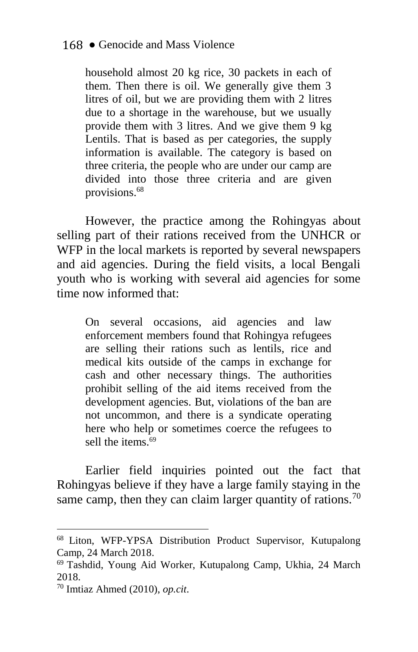household almost 20 kg rice, 30 packets in each of them. Then there is oil. We generally give them 3 litres of oil, but we are providing them with 2 litres due to a shortage in the warehouse, but we usually provide them with 3 litres. And we give them 9 kg Lentils. That is based as per categories, the supply information is available. The category is based on three criteria, the people who are under our camp are divided into those three criteria and are given provisions.<sup>68</sup>

However, the practice among the Rohingyas about selling part of their rations received from the UNHCR or WFP in the local markets is reported by several newspapers and aid agencies. During the field visits, a local Bengali youth who is working with several aid agencies for some time now informed that:

On several occasions, aid agencies and law enforcement members found that Rohingya refugees are selling their rations such as lentils, rice and medical kits outside of the camps in exchange for cash and other necessary things. The authorities prohibit selling of the aid items received from the development agencies. But, violations of the ban are not uncommon, and there is a syndicate operating here who help or sometimes coerce the refugees to sell the items.<sup>69</sup>

Earlier field inquiries pointed out the fact that Rohingyas believe if they have a large family staying in the same camp, then they can claim larger quantity of rations.<sup>70</sup>

<sup>68</sup> Liton, WFP-YPSA Distribution Product Supervisor, Kutupalong Camp, 24 March 2018.

<sup>69</sup> Tashdid, Young Aid Worker, Kutupalong Camp, Ukhia, 24 March 2018.

<sup>70</sup> Imtiaz Ahmed (2010), *op.cit*.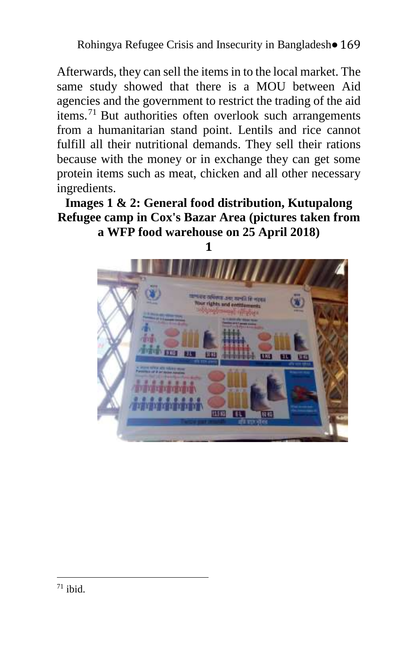Rohingya Refugee Crisis and Insecurity in Bangladesh• 169

Afterwards, they can sell the items in to the local market. The same study showed that there is a MOU between Aid agencies and the government to restrict the trading of the aid items.<sup>71</sup> But authorities often overlook such arrangements from a humanitarian stand point. Lentils and rice cannot fulfill all their nutritional demands. They sell their rations because with the money or in exchange they can get some protein items such as meat, chicken and all other necessary ingredients.

**Images 1 & 2: General food distribution, Kutupalong Refugee camp in Cox's Bazar Area (pictures taken from a WFP food warehouse on 25 April 2018)** 

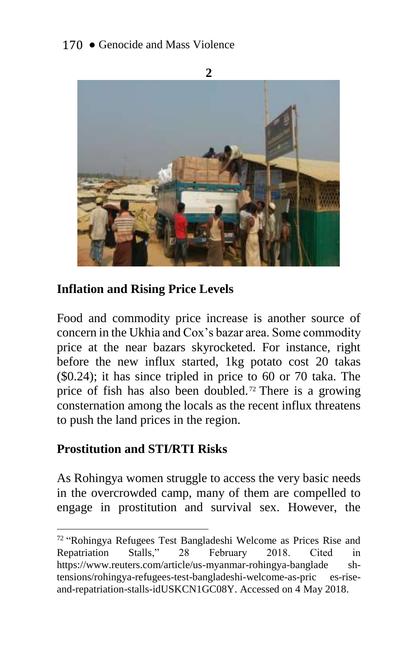

### **Inflation and Rising Price Levels**

Food and commodity price increase is another source of concern in the Ukhia and Cox's bazar area. Some commodity price at the near bazars skyrocketed. For instance, right before the new influx started, 1kg potato cost 20 takas (\$0.24); it has since tripled in price to 60 or 70 taka. The price of fish has also been doubled. <sup>72</sup> There is a growing consternation among the locals as the recent influx threatens to push the land prices in the region.

### **Prostitution and STI/RTI Risks**

1

As Rohingya women struggle to access the very basic needs in the overcrowded camp, many of them are compelled to engage in prostitution and survival sex. However, the

<sup>72</sup> "Rohingya Refugees Test Bangladeshi Welcome as Prices Rise and Repatriation Stalls," 28 February 2018. Cited in https://www.reuters.com/article/us-myanmar-rohingya-banglade shtensions/rohingya-refugees-test-bangladeshi-welcome-as-pric es-riseand-repatriation-stalls-idUSKCN1GC08Y. Accessed on 4 May 2018.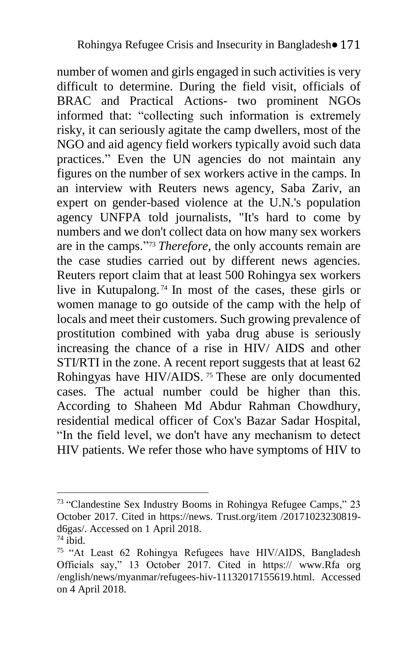number of women and girls engaged in such activities is very difficult to determine. During the field visit, officials of BRAC and Practical Actions- two prominent NGOs informed that: "collecting such information is extremely risky, it can seriously agitate the camp dwellers, most of the NGO and aid agency field workers typically avoid such data practices." Even the UN agencies do not maintain any figures on the number of sex workers active in the camps. In an interview with Reuters news agency, Saba Zariv, an expert on gender-based violence at the U.N.'s population agency UNFPA told journalists, "It's hard to come by numbers and we don't collect data on how many sex workers are in the camps." <sup>73</sup> *Therefore,* the only accounts remain are the case studies carried out by different news agencies. Reuters report claim that at least 500 Rohingya sex workers live in Kutupalong. <sup>74</sup> In most of the cases, these girls or women manage to go outside of the camp with the help of locals and meet their customers. Such growing prevalence of prostitution combined with yaba drug abuse is seriously increasing the chance of a rise in HIV/ AIDS and other STI/RTI in the zone. A recent report suggests that at least 62 Rohingyas have HIV/AIDS.<sup>75</sup> These are only documented cases. The actual number could be higher than this. According to Shaheen Md Abdur Rahman Chowdhury, residential medical officer of Cox's Bazar Sadar Hospital, "In the field level, we don't have any mechanism to detect HIV patients. We refer those who have symptoms of HIV to

<sup>&</sup>lt;u>.</u> <sup>73</sup> "Clandestine Sex Industry Booms in Rohingya Refugee Camps," 23 October 2017. Cited in https://news. Trust.org/item /20171023230819 d6gas/. Accessed on 1 April 2018.

 $74$  ibid.

<sup>75</sup> "At Least 62 Rohingya Refugees have HIV/AIDS, Bangladesh Officials say," 13 October 2017. Cited in https:// www.Rfa org /english/news/myanmar/refugees-hiv-11132017155619.html. Accessed on 4 April 2018.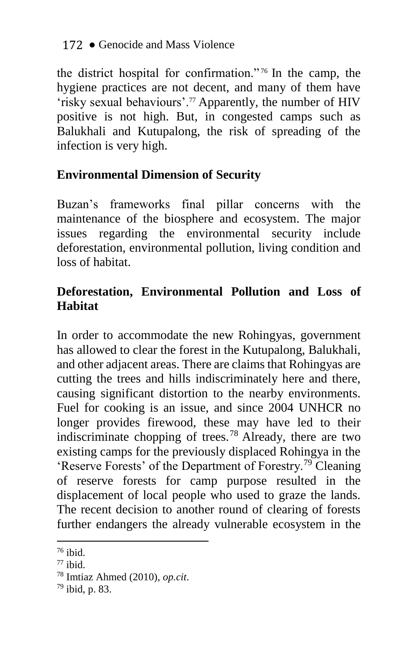the district hospital for confirmation." <sup>76</sup> In the camp, the hygiene practices are not decent, and many of them have 'risky sexual behaviours'.<sup>77</sup> Apparently, the number of HIV positive is not high. But, in congested camps such as Balukhali and Kutupalong, the risk of spreading of the infection is very high.

# **Environmental Dimension of Security**

Buzan's frameworks final pillar concerns with the maintenance of the biosphere and ecosystem. The major issues regarding the environmental security include deforestation, environmental pollution, living condition and loss of habitat.

# **Deforestation, Environmental Pollution and Loss of Habitat**

In order to accommodate the new Rohingyas, government has allowed to clear the forest in the Kutupalong, Balukhali, and other adjacent areas. There are claims that Rohingyas are cutting the trees and hills indiscriminately here and there, causing significant distortion to the nearby environments. Fuel for cooking is an issue, and since 2004 UNHCR no longer provides firewood, these may have led to their indiscriminate chopping of trees.<sup>78</sup> Already, there are two existing camps for the previously displaced Rohingya in the 'Reserve Forests' of the Department of Forestry.<sup>79</sup> Cleaning of reserve forests for camp purpose resulted in the displacement of local people who used to graze the lands. The recent decision to another round of clearing of forests further endangers the already vulnerable ecosystem in the

 $76$  ibid.

 $77$  ibid.

<sup>78</sup> Imtiaz Ahmed (2010), *op.cit*.

<sup>79</sup> ibid, p. 83.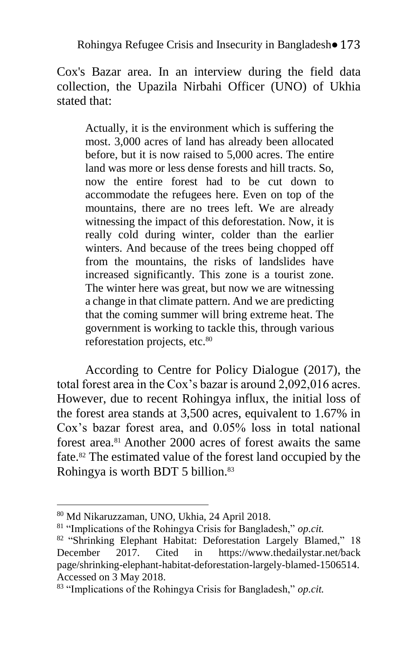Cox's Bazar area. In an interview during the field data collection, the Upazila Nirbahi Officer (UNO) of Ukhia stated that:

Actually, it is the environment which is suffering the most. 3,000 acres of land has already been allocated before, but it is now raised to 5,000 acres. The entire land was more or less dense forests and hill tracts. So, now the entire forest had to be cut down to accommodate the refugees here. Even on top of the mountains, there are no trees left. We are already witnessing the impact of this deforestation. Now, it is really cold during winter, colder than the earlier winters. And because of the trees being chopped off from the mountains, the risks of landslides have increased significantly. This zone is a tourist zone. The winter here was great, but now we are witnessing a change in that climate pattern. And we are predicting that the coming summer will bring extreme heat. The government is working to tackle this, through various reforestation projects, etc.<sup>80</sup>

According to Centre for Policy Dialogue (2017), the total forest area in the Cox's bazar is around 2,092,016 acres. However, due to recent Rohingya influx, the initial loss of the forest area stands at 3,500 acres, equivalent to 1.67% in Cox's bazar forest area, and 0.05% loss in total national forest area.<sup>81</sup> Another 2000 acres of forest awaits the same fate.<sup>82</sup> The estimated value of the forest land occupied by the Rohingya is worth BDT 5 billion.<sup>83</sup>

<sup>80</sup> Md Nikaruzzaman, UNO, Ukhia, 24 April 2018.

<sup>81</sup> "Implications of the Rohingya Crisis for Bangladesh," *op.cit.*

<sup>82 &</sup>quot;Shrinking Elephant Habitat: Deforestation Largely Blamed," 18 December 2017. Cited in https://www.thedailystar.net/back page/shrinking-elephant-habitat-deforestation-largely-blamed-1506514. Accessed on 3 May 2018.

<sup>83</sup> "Implications of the Rohingya Crisis for Bangladesh," *op.cit.*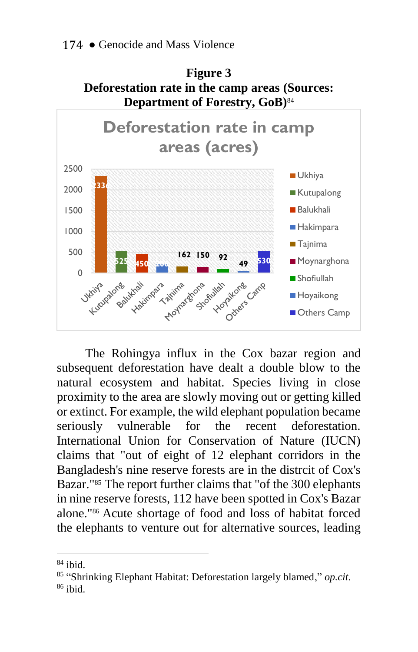

The Rohingya influx in the Cox bazar region and subsequent deforestation have dealt a double blow to the natural ecosystem and habitat. Species living in close proximity to the area are slowly moving out or getting killed or extinct. For example, the wild elephant population became seriously vulnerable for the recent deforestation. International Union for Conservation of Nature (IUCN) claims that "out of eight of 12 elephant corridors in the Bangladesh's nine reserve forests are in the distrcit of Cox's Bazar."<sup>85</sup> The report further claims that "of the 300 elephants" in nine reserve forests, 112 have been spotted in Cox's Bazar alone."<sup>86</sup> Acute shortage of food and loss of habitat forced the elephants to venture out for alternative sources, leading

 $84$  ibid.

<sup>85</sup> "Shrinking Elephant Habitat: Deforestation largely blamed," *op.cit*.  $86$  ibid.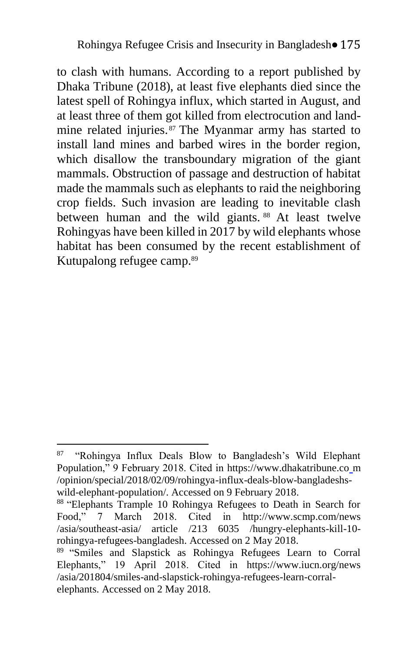to clash with humans. According to a report published by Dhaka Tribune (2018), at least five elephants died since the latest spell of Rohingya influx, which started in August, and at least three of them got killed from electrocution and landmine related injuries. <sup>87</sup> The Myanmar army has started to install land mines and barbed wires in the border region, which disallow the transboundary migration of the giant mammals. Obstruction of passage and destruction of habitat made the mammals such as elephants to raid the neighboring crop fields. Such invasion are leading to inevitable clash between human and the wild giants. <sup>88</sup> At least twelve Rohingyas have been killed in 2017 by wild elephants whose habitat has been consumed by the recent establishment of Kutupalong refugee camp.<sup>89</sup>

<sup>87</sup> "Rohingya Influx Deals Blow to Bangladesh's Wild Elephant Population," 9 February 2018. Cited in https://www.dhakatribune.co m /opinion/special/2018/02/09/rohingya-influx-deals-blow-bangladeshswild-elephant-population/. Accessed on 9 February 2018.

<sup>88 &</sup>quot;Elephants Trample 10 Rohingya Refugees to Death in Search for Food," 7 March 2018. Cited in http://www.scmp.com/news /asia/southeast-asia/ article /213 6035 /hungry-elephants-kill-10 rohingya-refugees-bangladesh. Accessed on 2 May 2018.

<sup>&</sup>lt;sup>89</sup> "Smiles and Slapstick as Rohingya Refugees Learn to Corral Elephants," 19 April 2018. Cited in https://www.iucn.org/news /asia/201804/smiles-and-slapstick-rohingya-refugees-learn-corralelephants. Accessed on 2 May 2018.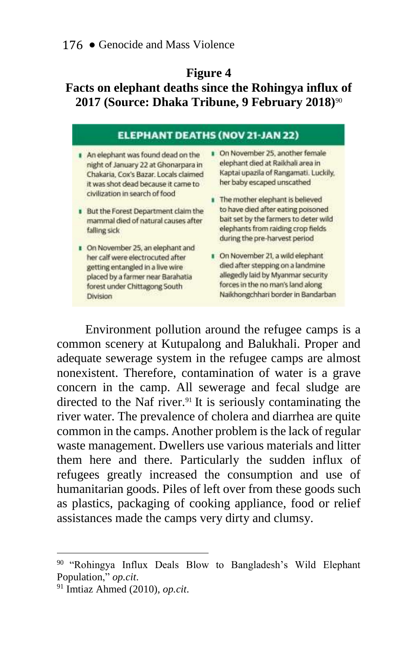#### **Figure 4**

# **Facts on elephant deaths since the Rohingya influx of 2017 (Source: Dhaka Tribune, 9 February 2018)**<sup>90</sup>

| <b>ELEPHANT DEATHS (NOV 21-JAN 22)</b>                                                                                                                                                                                                                                                    |                                                                                                                                                                                                                                                                                                                                     |  |
|-------------------------------------------------------------------------------------------------------------------------------------------------------------------------------------------------------------------------------------------------------------------------------------------|-------------------------------------------------------------------------------------------------------------------------------------------------------------------------------------------------------------------------------------------------------------------------------------------------------------------------------------|--|
| An elephant was found dead on the<br>night of January 22 at Ghonarpara in<br>Chakaria, Cox's Bazar. Locals claimed<br>it was shot dead because it came to<br>civilization in search of food<br>But the Forest Department claim the<br>mammal died of natural causes after<br>falling sick | On November 25, another female<br>elephant died at Raikhali area in<br>Kaptai upazila of Rangamati. Luckily.<br>her baby escaped unscathed<br>The mother elephant is believed<br>to have died after eating poisoned<br>bait set by the farmers to deter wild<br>elephants from raiding crop fields<br>during the pre-harvest period |  |
| On November 25, an elephant and<br>her calf were electrocuted after<br>getting entangled in a live wire<br>placed by a farmer near Barahatia<br>forest under Chittagong South<br>Division                                                                                                 | On November 21, a wild elephant<br>died after stepping on a landmine<br>allegedly laid by Myanmar security<br>forces in the no man's land along<br>Naikhongchhari border in Bandarban                                                                                                                                               |  |

Environment pollution around the refugee camps is a common scenery at Kutupalong and Balukhali. Proper and adequate sewerage system in the refugee camps are almost nonexistent. Therefore, contamination of water is a grave concern in the camp. All sewerage and fecal sludge are directed to the Naf river.<sup>91</sup> It is seriously contaminating the river water. The prevalence of cholera and diarrhea are quite common in the camps. Another problem is the lack of regular waste management. Dwellers use various materials and litter them here and there. Particularly the sudden influx of refugees greatly increased the consumption and use of humanitarian goods. Piles of left over from these goods such as plastics, packaging of cooking appliance, food or relief assistances made the camps very dirty and clumsy.

<sup>&</sup>lt;sup>90</sup> "Rohingya Influx Deals Blow to Bangladesh's Wild Elephant Population," *op.cit*.

<sup>91</sup> Imtiaz Ahmed (2010), *op.cit*.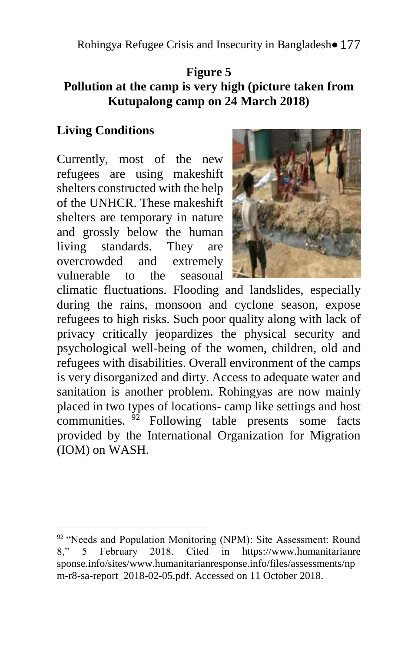Rohingya Refugee Crisis and Insecurity in Bangladesh• 177

### **Figure 5 Pollution at the camp is very high (picture taken from Kutupalong camp on 24 March 2018)**

### **Living Conditions**

<u>.</u>

Currently, most of the new refugees are using makeshift shelters constructed with the help of the UNHCR. These makeshift shelters are temporary in nature and grossly below the human living standards. They are overcrowded and extremely vulnerable to the seasonal



climatic fluctuations. Flooding and landslides, especially during the rains, monsoon and cyclone season, expose refugees to high risks. Such poor quality along with lack of privacy critically jeopardizes the physical security and psychological well-being of the women, children, old and refugees with disabilities. Overall environment of the camps is very disorganized and dirty. Access to adequate water and sanitation is another problem. Rohingyas are now mainly placed in two types of locations- camp like settings and host communities.  $\frac{92}{2}$  Following table presents some facts provided by the International Organization for Migration (IOM) on WASH.

 $92$  "Needs and Population Monitoring (NPM): Site Assessment: Round 8," 5 February 2018. Cited in https://www.humanitarianre sponse.info/sites/www.humanitarianresponse.info/files/assessments/np m-r8-sa-report\_2018-02-05.pdf. Accessed on 11 October 2018.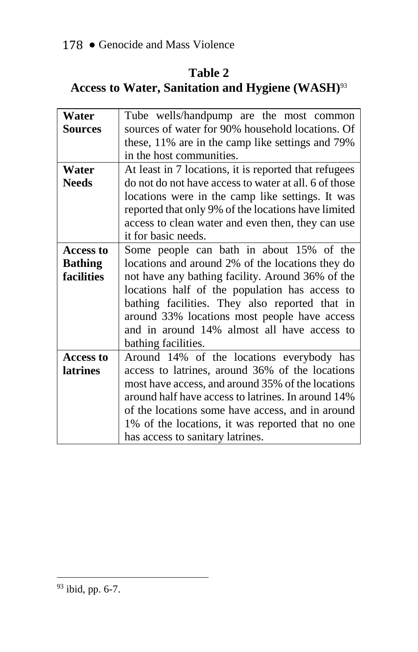# **Table 2**

# **Access to Water, Sanitation and Hygiene (WASH)**<sup>93</sup>

| Water            | Tube wells/handpump are the most common               |
|------------------|-------------------------------------------------------|
| Sources          | sources of water for 90% household locations. Of      |
|                  | these, 11% are in the camp like settings and 79%      |
|                  | in the host communities.                              |
| Water            | At least in 7 locations, it is reported that refugees |
| <b>Needs</b>     | do not do not have access to water at all. 6 of those |
|                  | locations were in the camp like settings. It was      |
|                  | reported that only 9% of the locations have limited   |
|                  | access to clean water and even then, they can use     |
|                  | it for basic needs.                                   |
| <b>Access to</b> | Some people can bath in about 15% of the              |
| <b>Bathing</b>   | locations and around 2% of the locations they do      |
| facilities       | not have any bathing facility. Around 36% of the      |
|                  | locations half of the population has access to        |
|                  | bathing facilities. They also reported that in        |
|                  | around 33% locations most people have access          |
|                  | and in around 14% almost all have access to           |
|                  | bathing facilities.                                   |
| <b>Access to</b> | Around 14% of the locations everybody has             |
| <b>latrines</b>  | access to latrines, around 36% of the locations       |
|                  | most have access, and around 35% of the locations     |
|                  | around half have access to latrines. In around 14%    |
|                  | of the locations some have access, and in around      |
|                  | 1% of the locations, it was reported that no one      |
|                  | has access to sanitary latrines.                      |

 $93$  ibid, pp. 6-7.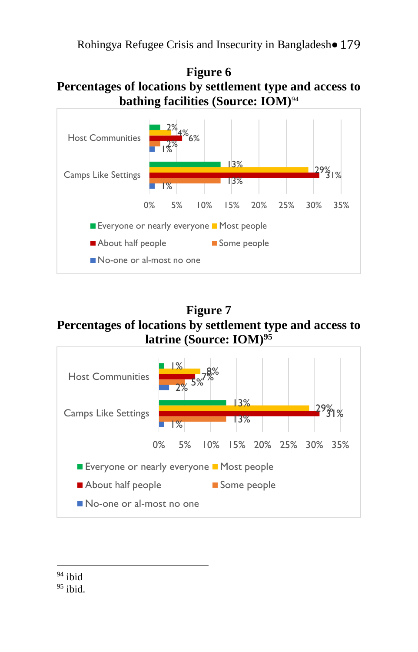Rohingya Refugee Crisis and Insecurity in Bangladesh• 179

### **Figure 6 Percentages of locations by settlement type and access to bathing facilities (Source: IOM)**<sup>94</sup>



**Figure 7 Percentages of locations by settlement type and access to latrine (Source: IOM)<sup>95</sup>** 



<u>.</u>  $94$  ibid

 $95$  ibid.